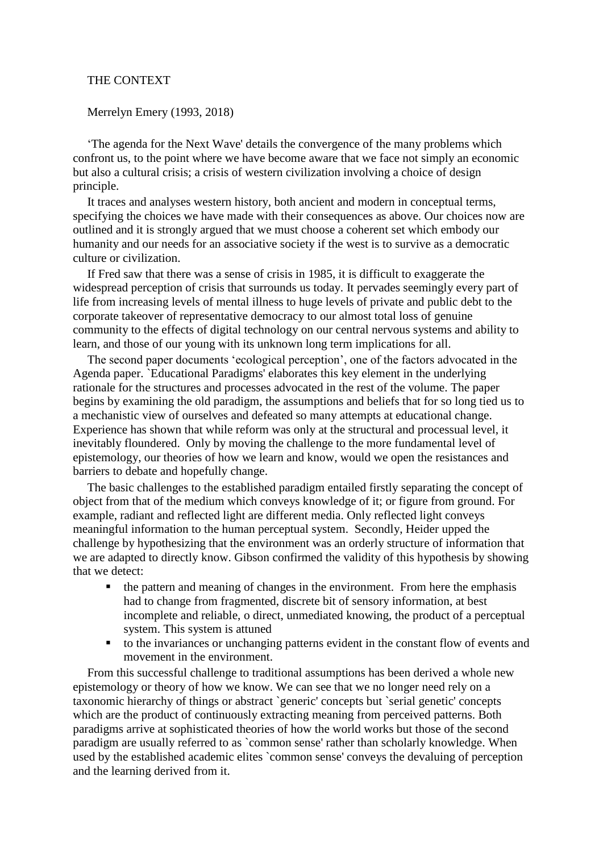## THE CONTEXT

Merrelyn Emery (1993, 2018)

'The agenda for the Next Wave' details the convergence of the many problems which confront us, to the point where we have become aware that we face not simply an economic but also a cultural crisis; a crisis of western civilization involving a choice of design principle.

It traces and analyses western history, both ancient and modern in conceptual terms, specifying the choices we have made with their consequences as above. Our choices now are outlined and it is strongly argued that we must choose a coherent set which embody our humanity and our needs for an associative society if the west is to survive as a democratic culture or civilization.

If Fred saw that there was a sense of crisis in 1985, it is difficult to exaggerate the widespread perception of crisis that surrounds us today. It pervades seemingly every part of life from increasing levels of mental illness to huge levels of private and public debt to the corporate takeover of representative democracy to our almost total loss of genuine community to the effects of digital technology on our central nervous systems and ability to learn, and those of our young with its unknown long term implications for all.

The second paper documents 'ecological perception', one of the factors advocated in the Agenda paper. `Educational Paradigms' elaborates this key element in the underlying rationale for the structures and processes advocated in the rest of the volume. The paper begins by examining the old paradigm, the assumptions and beliefs that for so long tied us to a mechanistic view of ourselves and defeated so many attempts at educational change. Experience has shown that while reform was only at the structural and processual level, it inevitably floundered. Only by moving the challenge to the more fundamental level of epistemology, our theories of how we learn and know, would we open the resistances and barriers to debate and hopefully change.

The basic challenges to the established paradigm entailed firstly separating the concept of object from that of the medium which conveys knowledge of it; or figure from ground. For example, radiant and reflected light are different media. Only reflected light conveys meaningful information to the human perceptual system. Secondly, Heider upped the challenge by hypothesizing that the environment was an orderly structure of information that we are adapted to directly know. Gibson confirmed the validity of this hypothesis by showing that we detect:

- the pattern and meaning of changes in the environment. From here the emphasis had to change from fragmented, discrete bit of sensory information, at best incomplete and reliable, o direct, unmediated knowing, the product of a perceptual system. This system is attuned
- to the invariances or unchanging patterns evident in the constant flow of events and movement in the environment.

From this successful challenge to traditional assumptions has been derived a whole new epistemology or theory of how we know. We can see that we no longer need rely on a taxonomic hierarchy of things or abstract `generic' concepts but `serial genetic' concepts which are the product of continuously extracting meaning from perceived patterns. Both paradigms arrive at sophisticated theories of how the world works but those of the second paradigm are usually referred to as `common sense' rather than scholarly knowledge. When used by the established academic elites `common sense' conveys the devaluing of perception and the learning derived from it.